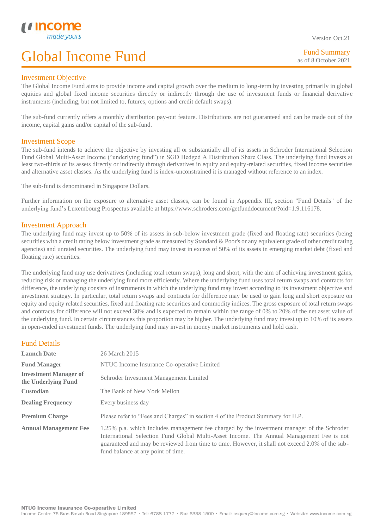Version Oct.21

Fund Summary as of 8 October 2021

### Investment Objective

L

The Global Income Fund aims to provide income and capital growth over the medium to long-term by investing primarily in global equities and global fixed income securities directly or indirectly through the use of investment funds or financial derivative instruments (including, but not limited to, futures, options and credit default swaps).

The sub-fund currently offers a monthly distribution pay-out feature. Distributions are not guaranteed and can be made out of the income, capital gains and/or capital of the sub-fund.

### Investment Scope

The sub-fund intends to achieve the objective by investing all or substantially all of its assets in Schroder International Selection Fund Global Multi-Asset Income ("underlying fund") in SGD Hedged A Distribution Share Class. The underlying fund invests at least two-thirds of its assets directly or indirectly through derivatives in equity and equity-related securities, fixed income securities and alternative asset classes. As the underlying fund is index-unconstrained it is managed without reference to an index.

The sub-fund is denominated in Singapore Dollars.

Further information on the exposure to alternative asset classes, can be found in Appendix III, section "Fund Details" of the underlying fund's Luxembourg Prospectus available at https://www.schroders.com/getfunddocument/?oid=1.9.116178.

### Investment Approach

The underlying fund may invest up to 50% of its assets in sub-below investment grade (fixed and floating rate) securities (being securities with a credit rating below investment grade as measured by Standard & Poor's or any equivalent grade of other credit rating agencies) and unrated securities. The underlying fund may invest in excess of 50% of its assets in emerging market debt (fixed and floating rate) securities.

The underlying fund may use derivatives (including total return swaps), long and short, with the aim of achieving investment gains, reducing risk or managing the underlying fund more efficiently. Where the underlying fund uses total return swaps and contracts for difference, the underlying consists of instruments in which the underlying fund may invest according to its investment objective and investment strategy. In particular, total return swaps and contracts for difference may be used to gain long and short exposure on equity and equity related securities, fixed and floating rate securities and commodity indices. The gross exposure of total return swaps and contracts for difference will not exceed 30% and is expected to remain within the range of 0% to 20% of the net asset value of the underlying fund. In certain circumstances this proportion may be higher. The underlying fund may invest up to 10% of its assets in open-ended investment funds. The underlying fund may invest in money market instruments and hold cash.

### Fund Details

| <b>Launch Date</b>                                  | 26 March 2015                                                                                                                                                                                                                                                                                                                   |
|-----------------------------------------------------|---------------------------------------------------------------------------------------------------------------------------------------------------------------------------------------------------------------------------------------------------------------------------------------------------------------------------------|
| <b>Fund Manager</b>                                 | NTUC Income Insurance Co-operative Limited                                                                                                                                                                                                                                                                                      |
| <b>Investment Manager of</b><br>the Underlying Fund | Schroder Investment Management Limited                                                                                                                                                                                                                                                                                          |
| <b>Custodian</b>                                    | The Bank of New York Mellon                                                                                                                                                                                                                                                                                                     |
| <b>Dealing Frequency</b>                            | Every business day                                                                                                                                                                                                                                                                                                              |
| <b>Premium Charge</b>                               | Please refer to "Fees and Charges" in section 4 of the Product Summary for ILP.                                                                                                                                                                                                                                                 |
| <b>Annual Management Fee</b>                        | 1.25% p.a. which includes management fee charged by the investment manager of the Schroder<br>International Selection Fund Global Multi-Asset Income. The Annual Management Fee is not<br>guaranteed and may be reviewed from time to time. However, it shall not exceed 2.0% of the sub-<br>fund balance at any point of time. |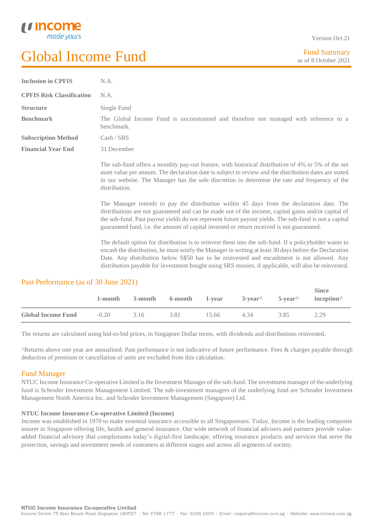L

Version Oct.21

| <b>Inclusion in CPFIS</b>        | N.A.                                                                                                                                                                                                                                                                                                                                                                                                                  |
|----------------------------------|-----------------------------------------------------------------------------------------------------------------------------------------------------------------------------------------------------------------------------------------------------------------------------------------------------------------------------------------------------------------------------------------------------------------------|
| <b>CPFIS Risk Classification</b> | N.A.                                                                                                                                                                                                                                                                                                                                                                                                                  |
| <b>Structure</b>                 | Single Fund                                                                                                                                                                                                                                                                                                                                                                                                           |
| <b>Benchmark</b>                 | The Global Income Fund is unconstrained and therefore not managed with reference to a<br>benchmark.                                                                                                                                                                                                                                                                                                                   |
| <b>Subscription Method</b>       | Cash / SRS                                                                                                                                                                                                                                                                                                                                                                                                            |
| <b>Financial Year End</b>        | 31 December                                                                                                                                                                                                                                                                                                                                                                                                           |
|                                  | The sub-fund offers a monthly pay-out feature, with historical distribution of 4% to 5% of the net<br>asset value per annum. The declaration date is subject to review and the distribution dates are stated<br>in our website. The Manager has the sole discretion to determine the rate and frequency of the<br>distribution.                                                                                       |
|                                  | The Manager intends to pay the distribution within 45 days from the declaration date. The<br>distributions are not guaranteed and can be made out of the income, capital gains and/or capital of<br>the sub-fund. Past payout yields do not represent future payout yields. The sub-fund is not a capital<br>guaranteed fund, i.e. the amount of capital invested or return received is not guaranteed.               |
|                                  | The default option for distribution is to reinvest them into the sub-fund. If a policyholder wants to<br>encash the distribution, he must notify the Manager in writing at least 30 days before the Declaration<br>Date. Any distribution below S\$50 has to be reinvested and encashment is not allowed. Any<br>distribution payable for investment bought using SRS monies, if applicable, will also be reinvested. |

### Past Performance (as of 30 June 2021)

|                           | 1-month | 3-month | 6-month 1-year |       |      | $3$ -year <sup><math>\wedge</math></sup> 5-year $\wedge$ inception $\wedge$ | <b>Since</b> |
|---------------------------|---------|---------|----------------|-------|------|-----------------------------------------------------------------------------|--------------|
| <b>Global Income Fund</b> | $-0.20$ | 3.16    | 3.81           | 15.66 | 4.34 | 3.85                                                                        | 2.29         |

The returns are calculated using bid-to-bid prices, in Singapore Dollar terms, with dividends and distributions reinvested.

^Returns above one year are annualised. Past performance is not indicative of future performance. Fees & charges payable through deduction of premium or cancellation of units are excluded from this calculation.

### Fund Manager

NTUC Income Insurance Co-operative Limited is the Investment Manager of the sub-fund. The investment manager of the underlying fund is Schroder Investment Management Limited. The sub-investment managers of the underlying fund are Schroder Investment Management North America Inc. and Schroder Investment Management (Singapore) Ltd.

### **NTUC Income Insurance Co-operative Limited (Income)**

Income was established in 1970 to make essential insurance accessible to all Singaporeans. Today, Income is the leading composite insurer in Singapore offering life, health and general insurance. Our wide network of financial advisers and partners provide valueadded financial advisory that complements today's digital-first landscape, offering insurance products and services that serve the protection, savings and investment needs of customers at different stages and across all segments of society.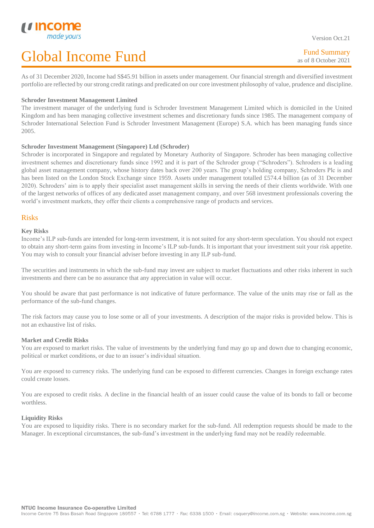As of 31 December 2020, Income had S\$45.91 billion in assets under management. Our financial strength and diversified investment portfolio are reflected by our strong credit ratings and predicated on our core investment philosophy of value, prudence and discipline.

### **Schroder Investment Management Limited**

The investment manager of the underlying fund is Schroder Investment Management Limited which is domiciled in the United Kingdom and has been managing collective investment schemes and discretionary funds since 1985. The management company of Schroder International Selection Fund is Schroder Investment Management (Europe) S.A. which has been managing funds since 2005.

### **Schroder Investment Management (Singapore) Ltd (Schroder)**

Schroder is incorporated in Singapore and regulated by Monetary Authority of Singapore. Schroder has been managing collective investment schemes and discretionary funds since 1992 and it is part of the Schroder group ("Schroders"). Schroders is a leading global asset management company, whose history dates back over 200 years. The group's holding company, Schroders Plc is and has been listed on the London Stock Exchange since 1959. Assets under management totalled £574.4 billion (as of 31 December 2020). Schroders' aim is to apply their specialist asset management skills in serving the needs of their clients worldwide. With one of the largest networks of offices of any dedicated asset management company, and over 568 investment professionals covering the world's investment markets, they offer their clients a comprehensive range of products and services.

### Risks

L

### **Key Risks**

Income's ILP sub-funds are intended for long-term investment, it is not suited for any short-term speculation. You should not expect to obtain any short-term gains from investing in Income's ILP sub-funds. It is important that your investment suit your risk appetite. You may wish to consult your financial adviser before investing in any ILP sub-fund.

The securities and instruments in which the sub-fund may invest are subject to market fluctuations and other risks inherent in such investments and there can be no assurance that any appreciation in value will occur.

You should be aware that past performance is not indicative of future performance. The value of the units may rise or fall as the performance of the sub-fund changes.

The risk factors may cause you to lose some or all of your investments. A description of the major risks is provided below. This is not an exhaustive list of risks.

### **Market and Credit Risks**

You are exposed to market risks. The value of investments by the underlying fund may go up and down due to changing economic, political or market conditions, or due to an issuer's individual situation.

You are exposed to currency risks. The underlying fund can be exposed to different currencies. Changes in foreign exchange rates could create losses.

You are exposed to credit risks. A decline in the financial health of an issuer could cause the value of its bonds to fall or become worthless.

### **Liquidity Risks**

You are exposed to liquidity risks. There is no secondary market for the sub-fund. All redemption requests should be made to the Manager. In exceptional circumstances, the sub-fund's investment in the underlying fund may not be readily redeemable.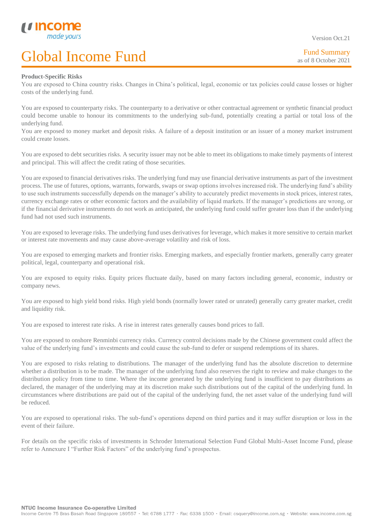Fund Summary as of 8 October 2021

### **Product-Specific Risks**

L

You are exposed to China country risks. Changes in China's political, legal, economic or tax policies could cause losses or higher costs of the underlying fund.

You are exposed to counterparty risks. The counterparty to a derivative or other contractual agreement or synthetic financial product could become unable to honour its commitments to the underlying sub-fund, potentially creating a partial or total loss of the underlying fund.

You are exposed to money market and deposit risks. A failure of a deposit institution or an issuer of a money market instrument could create losses.

You are exposed to debt securities risks. A security issuer may not be able to meet its obligations to make timely payments of interest and principal. This will affect the credit rating of those securities.

You are exposed to financial derivatives risks. The underlying fund may use financial derivative instruments as part of the investment process. The use of futures, options, warrants, forwards, swaps or swap options involves increased risk. The underlying fund's ability to use such instruments successfully depends on the manager's ability to accurately predict movements in stock prices, interest rates, currency exchange rates or other economic factors and the availability of liquid markets. If the manager's predictions are wrong, or if the financial derivative instruments do not work as anticipated, the underlying fund could suffer greater loss than if the underlying fund had not used such instruments.

You are exposed to leverage risks. The underlying fund uses derivatives for leverage, which makes it more sensitive to certain market or interest rate movements and may cause above-average volatility and risk of loss.

You are exposed to emerging markets and frontier risks. Emerging markets, and especially frontier markets, generally carry greater political, legal, counterparty and operational risk.

You are exposed to equity risks. Equity prices fluctuate daily, based on many factors including general, economic, industry or company news.

You are exposed to high yield bond risks. High yield bonds (normally lower rated or unrated) generally carry greater market, credit and liquidity risk.

You are exposed to interest rate risks. A rise in interest rates generally causes bond prices to fall.

You are exposed to onshore Renminbi currency risks. Currency control decisions made by the Chinese government could affect the value of the underlying fund's investments and could cause the sub-fund to defer or suspend redemptions of its shares.

You are exposed to risks relating to distributions. The manager of the underlying fund has the absolute discretion to determine whether a distribution is to be made. The manager of the underlying fund also reserves the right to review and make changes to the distribution policy from time to time. Where the income generated by the underlying fund is insufficient to pay distributions as declared, the manager of the underlying may at its discretion make such distributions out of the capital of the underlying fund. In circumstances where distributions are paid out of the capital of the underlying fund, the net asset value of the underlying fund will be reduced.

You are exposed to operational risks. The sub-fund's operations depend on third parties and it may suffer disruption or loss in the event of their failure.

For details on the specific risks of investments in Schroder International Selection Fund Global Multi-Asset Income Fund, please refer to Annexure I "Further Risk Factors" of the underlying fund's prospectus.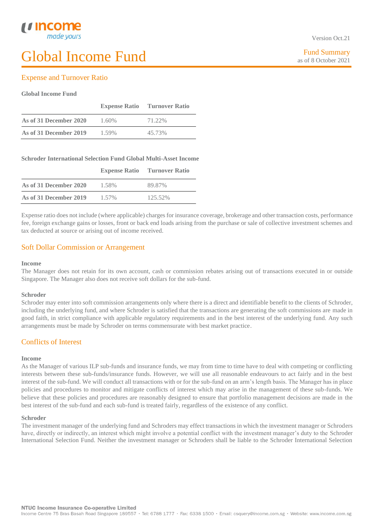### Expense and Turnover Ratio

### **Global Income Fund**

L

|                        | <b>Expense Ratio</b> | <b>Turnover Ratio</b> |
|------------------------|----------------------|-----------------------|
| As of 31 December 2020 | $1.60\%$             | 71.22%                |
| As of 31 December 2019 | 1.59%                | 45.73%                |

### **Schroder International Selection Fund Global Multi-Asset Income**

|                        | <b>Expense Ratio</b> | <b>Turnover Ratio</b> |
|------------------------|----------------------|-----------------------|
| As of 31 December 2020 | 1.58%                | 89.87%                |
| As of 31 December 2019 | $1.57\%$             | 125.52%               |

Expense ratio does not include (where applicable) charges for insurance coverage, brokerage and other transaction costs, performance fee, foreign exchange gains or losses, front or back end loads arising from the purchase or sale of collective investment schemes and tax deducted at source or arising out of income received.

### Soft Dollar Commission or Arrangement

### **Income**

The Manager does not retain for its own account, cash or commission rebates arising out of transactions executed in or outside Singapore. The Manager also does not receive soft dollars for the sub-fund.

### **Schroder**

Schroder may enter into soft commission arrangements only where there is a direct and identifiable benefit to the clients of Schroder, including the underlying fund, and where Schroder is satisfied that the transactions are generating the soft commissions are made in good faith, in strict compliance with applicable regulatory requirements and in the best interest of the underlying fund. Any such arrangements must be made by Schroder on terms commensurate with best market practice.

### Conflicts of Interest

### **Income**

As the Manager of various ILP sub-funds and insurance funds, we may from time to time have to deal with competing or conflicting interests between these sub-funds/insurance funds. However, we will use all reasonable endeavours to act fairly and in the best interest of the sub-fund. We will conduct all transactions with or for the sub-fund on an arm's length basis. The Manager has in place policies and procedures to monitor and mitigate conflicts of interest which may arise in the management of these sub-funds. We believe that these policies and procedures are reasonably designed to ensure that portfolio management decisions are made in the best interest of the sub-fund and each sub-fund is treated fairly, regardless of the existence of any conflict.

### **Schroder**

The investment manager of the underlying fund and Schroders may effect transactions in which the investment manager or Schroders have, directly or indirectly, an interest which might involve a potential conflict with the investment manager's duty to the Schroder International Selection Fund. Neither the investment manager or Schroders shall be liable to the Schroder International Selection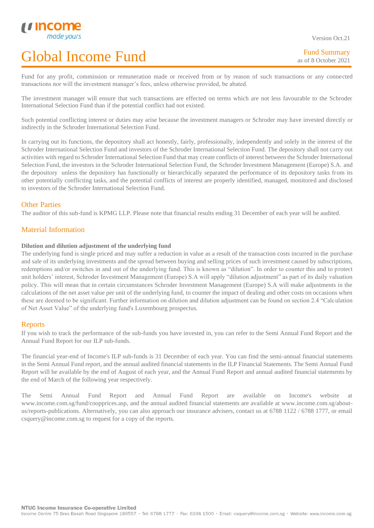Fund for any profit, commission or remuneration made or received from or by reason of such transactions or any connected transactions nor will the investment manager's fees, unless otherwise provided, be abated.

The investment manager will ensure that such transactions are effected on terms which are not less favourable to the Schroder International Selection Fund than if the potential conflict had not existed.

Such potential conflicting interest or duties may arise because the investment managers or Schroder may have invested directly or indirectly in the Schroder International Selection Fund.

In carrying out its functions, the depository shall act honestly, fairly, professionally, independently and solely in the interest of the Schroder International Selection Fund and investors of the Schroder International Selection Fund. The depository shall not carry out activities with regard to Schroder International Selection Fund that may create conflicts of interest between the Schroder International Selection Fund, the investors in the Schroder International Selection Fund, the Schroder Investment Management (Europe) S.A. and the depository unless the depository has functionally or hierarchically separated the performance of its depository tasks from its other potentially conflicting tasks, and the potential conflicts of interest are properly identified, managed, monitored and disclosed to investors of the Schroder International Selection Fund.

### Other Parties

L

The auditor of this sub-fund is KPMG LLP. Please note that financial results ending 31 December of each year will be audited.

### Material Information

### **Dilution and dilution adjustment of the underlying fund**

The underlying fund is single priced and may suffer a reduction in value as a result of the transaction costs incurred in the purchase and sale of its underlying investments and the spread between buying and selling prices of such investment caused by subscriptions, redemptions and/or switches in and out of the underlying fund. This is known as "dilution". In order to counter this and to protect unit holders' interest, Schroder Investment Management (Europe) S.A will apply "dilution adjustment" as part of its daily valuation policy. This will mean that in certain circumstances Schroder Investment Management (Europe) S.A will make adjustments in the calculations of the net asset value per unit of the underlying fund, to counter the impact of dealing and other costs on occasions when these are deemed to be significant. Further information on dilution and dilution adjustment can be found on section 2.4 "Calculation of Net Asset Value" of the underlying fund's Luxembourg prospectus.

### **Reports**

If you wish to track the performance of the sub-funds you have invested in, you can refer to the Semi Annual Fund Report and the Annual Fund Report for our ILP sub-funds.

The financial year-end of Income's ILP sub-funds is 31 December of each year. You can find the semi-annual financial statements in the Semi Annual Fund report, and the annual audited financial statements in the ILP Financial Statements. The Semi Annual Fund Report will be available by the end of August of each year, and the Annual Fund Report and annual audited financial statements by the end of March of the following year respectively.

The Semi Annual Fund Report and Annual Fund Report are available on Income's website at www.income.com.sg/fund/coopprices.asp, and the annual audited financial statements are available at www.income.com.sg/aboutus/reports-publications. Alternatively, you can also approach our insurance advisers, contact us at 6788 1122 / 6788 1777, or email csquery@income.com.sg to request for a copy of the reports.

NTUC Income Insurance Co-operative Limited

Income Centre 75 Bras Basah Road Singapore 189557 · Tel: 6788 1777 · Fax: 6338 1500 · Email: csquery@income.com.sg · Website: www.income.com.sg